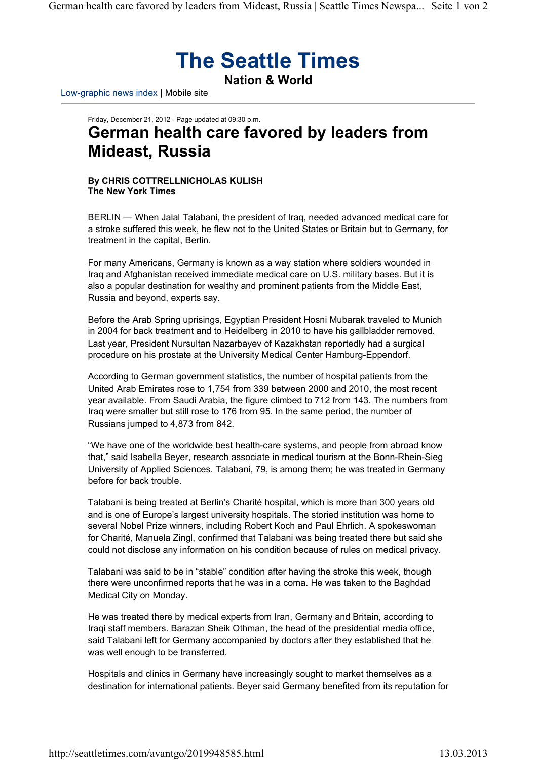## **The Seattle Times**

**Nation & World**

Low-graphic news index | Mobile site

## Friday, December 21, 2012 - Page updated at 09:30 p.m. **German health care favored by leaders from Mideast, Russia**

## **By CHRIS COTTRELLNICHOLAS KULISH The New York Times**

BERLIN — When Jalal Talabani, the president of Iraq, needed advanced medical care for a stroke suffered this week, he flew not to the United States or Britain but to Germany, for treatment in the capital, Berlin.

For many Americans, Germany is known as a way station where soldiers wounded in Iraq and Afghanistan received immediate medical care on U.S. military bases. But it is also a popular destination for wealthy and prominent patients from the Middle East, Russia and beyond, experts say.

Before the Arab Spring uprisings, Egyptian President Hosni Mubarak traveled to Munich in 2004 for back treatment and to Heidelberg in 2010 to have his gallbladder removed. Last year, President Nursultan Nazarbayev of Kazakhstan reportedly had a surgical procedure on his prostate at the University Medical Center Hamburg-Eppendorf.

According to German government statistics, the number of hospital patients from the United Arab Emirates rose to 1,754 from 339 between 2000 and 2010, the most recent year available. From Saudi Arabia, the figure climbed to 712 from 143. The numbers from Iraq were smaller but still rose to 176 from 95. In the same period, the number of Russians jumped to 4,873 from 842.

"We have one of the worldwide best health-care systems, and people from abroad know that," said Isabella Beyer, research associate in medical tourism at the Bonn-Rhein-Sieg University of Applied Sciences. Talabani, 79, is among them; he was treated in Germany before for back trouble.

Talabani is being treated at Berlin's Charité hospital, which is more than 300 years old and is one of Europe's largest university hospitals. The storied institution was home to several Nobel Prize winners, including Robert Koch and Paul Ehrlich. A spokeswoman for Charité, Manuela Zingl, confirmed that Talabani was being treated there but said she could not disclose any information on his condition because of rules on medical privacy.

Talabani was said to be in "stable" condition after having the stroke this week, though there were unconfirmed reports that he was in a coma. He was taken to the Baghdad Medical City on Monday.

He was treated there by medical experts from Iran, Germany and Britain, according to Iraqi staff members. Barazan Sheik Othman, the head of the presidential media office, said Talabani left for Germany accompanied by doctors after they established that he was well enough to be transferred.

Hospitals and clinics in Germany have increasingly sought to market themselves as a destination for international patients. Beyer said Germany benefited from its reputation for